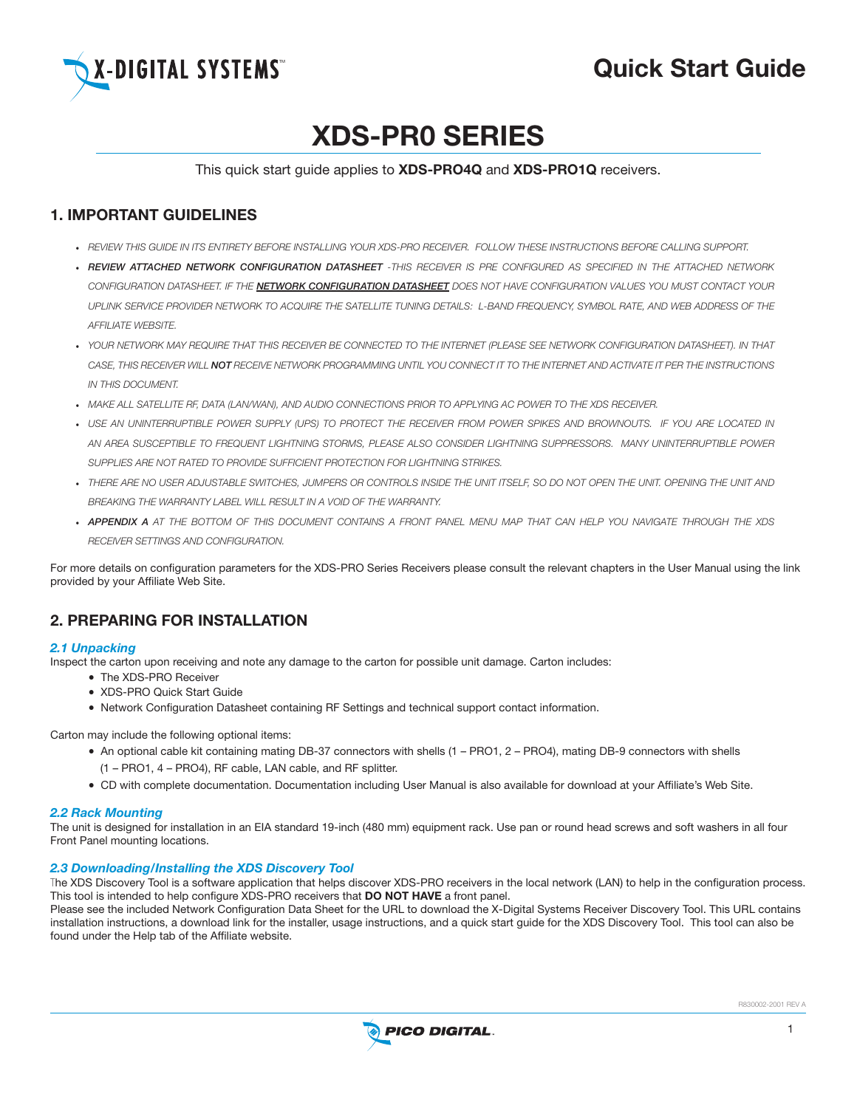

# Analysis and Cuick Start Guide (1995). The Start Guide of the Start Guide of the Start Guide of the Start Guide

# XDS-PR0 SERIES

## This quick start guide applies to XDS-PRO4Q and XDS-PRO1Q receivers.

# 1. Important Guidelines

- • *review this guide in its entirety before installing your XDS-pro receiver. FOLLOW THESE INSTRUCTIONS BEFORE CALLING SUPPORT.*
- • *REVIEW ATTACHED NETWORK CONFIGURATION DATASHEET -THIS RECEIVER IS PRE CONFIGURED AS SPECIFIED IN THE ATTACHED NETWORK CONFIGURATION DATASHEET. IF THE NETWORK CONFIGURATION DATASHEET DOES NOT HAVE CONFIGURATION VALUES YOU MUST CONTACT YOUR UPLINK SERVICE PROVIDER NETWORK TO ACQUIRE THE SATELLITE TUNING DETAILS: L-BAND FREQUENCY, SYMBOL RATE, AND WEB ADDRESS OF THE AFFILIATE WEBSITE.*
- YOUR NETWORK MAY REQUIRE THAT THIS RECEIVER BE CONNECTED TO THE INTERNET (PLEASE SEE NETWORK CONFIGURATION DATASHEET). IN THAT CASE. THIS RECEIVER WILL NOT RECEIVE NETWORK PROGRAMMING UNTIL YOU CONNECT IT TO THE INTERNET AND ACTIVATE IT PER THE INSTRUCTIONS *IN THIS DOCUMENT.*
- • *MAKE ALL SATELLITE RF, DATA (LAN/WAN), AND AUDIO CONNECTIONS PRIOR TO APPLYING AC POWER TO THE XDS RECEIVER.*
- USE AN UNINTERRUPTIBLE POWER SUPPLY (UPS) TO PROTECT THE RECEIVER FROM POWER SPIKES AND BROWNOUTS. IF YOU ARE LOCATED IN *AN AREA SUSCEPTIBLE TO FREQUENT LIGHTNING STORMS, PLEASE ALSO CONSIDER LIGHTNING SUPPRESSORS. MANY UNINTERRUPTIBLE POWER SUPPLIES ARE NOT RATED TO PROVIDE SUFFICIENT PROTECTION FOR LIGHTNING STRIKES.*
- . THERE ARE NO LISER ADJUSTARLE SWITCHES. JUMPERS OR CONTROLS INSIDE THE UNIT ITSELE SO DO NOT OPEN THE UNIT OPENING THE UNIT AND *BREAKING THE WARRANTY LABEL WILL RESULT IN A VOID OF THE WARRANTY.*
- . APPENDIX A AT THE BOTTOM OF THIS DOCUMENT CONTAINS A FRONT PANEL MENU MAP THAT CAN HELP YOU NAVIGATE THROUGH THE XDS *RECEIVER SETTINGS AND CONFIGURATION.*

For more details on configuration parameters for the XDS-PRO Series Receivers please consult the relevant chapters in the User Manual using the link provided by your Affiliate Web Site.

# 2. PREPARING FOR INSTALLATION

## *2.1 Unpacking*

Inspect the carton upon receiving and note any damage to the carton for possible unit damage. Carton includes:

- The XDS-PRO Receiver
- XDS-PRO Quick Start Guide
- • Network Configuration Datasheet containing RF Settings and technical support contact information.

Carton may include the following optional items:

- • An optional cable kit containing mating DB-37 connectors with shells (1 PRO1, 2 PRO4), mating DB-9 connectors with shells (1 – PRO1, 4 – PRO4), RF cable, LAN cable, and RF splitter.
- • CD with complete documentation. Documentation including User Manual is also available for download at your Affiliate's Web Site.

## *2.2 Rack Mounting*

The unit is designed for installation in an EIA standard 19-inch (480 mm) equipment rack. Use pan or round head screws and soft washers in all four Front Panel mounting locations.

## *2.3 Downloading/Installing the XDS Discovery Tool*

The XDS Discovery Tool is a software application that helps discover XDS-PRO receivers in the local network (LAN) to help in the configuration process. This tool is intended to help configure XDS-PRO receivers that **DO NOT HAVE** a front panel.

Please see the included Network Configuration Data Sheet for the URL to download the X-Digital Systems Receiver Discovery Tool. This URL contains installation instructions, a download link for the installer, usage instructions, and a quick start guide for the XDS Discovery Tool. This tool can also be found under the Help tab of the Affiliate website.

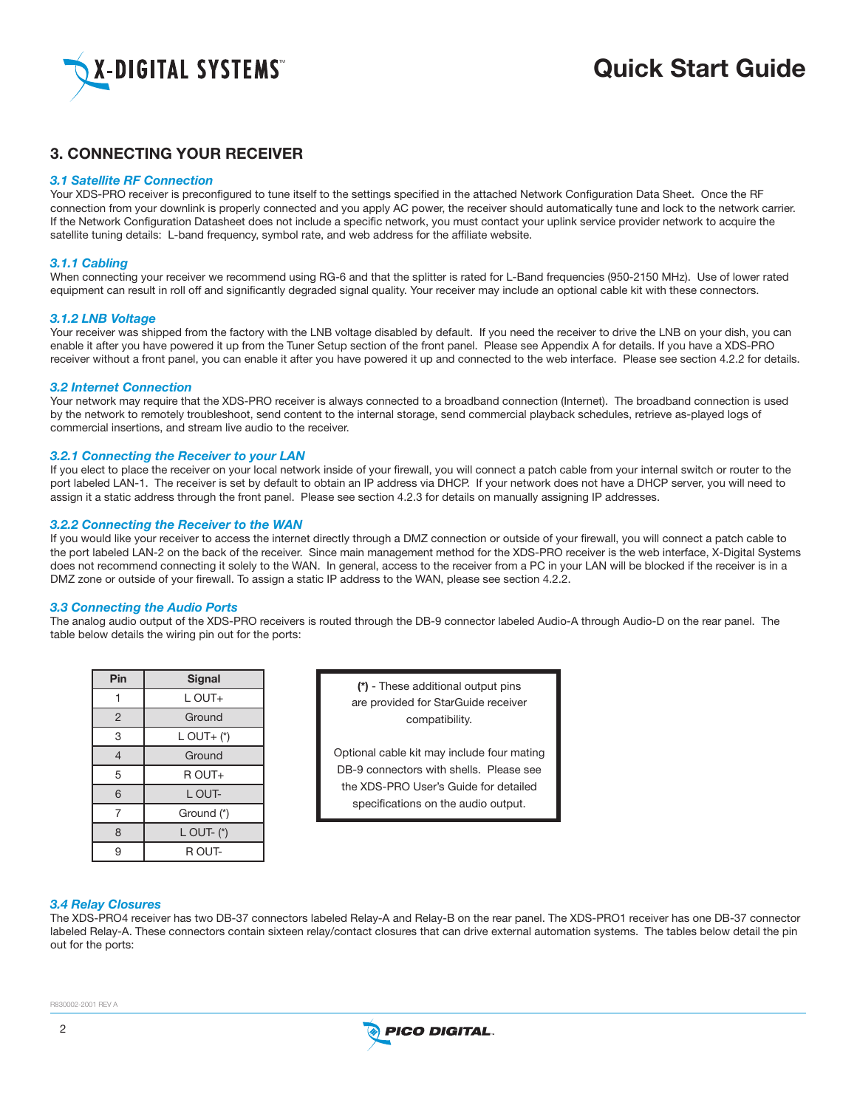

# **THR AND THE SET IS START GUIDE START GUIDE START GUIDE START GUIDE**

# 3. Connecting your Receiver

#### *3.1 Satellite RF Connection*

Your XDS-PRO receiver is preconfigured to tune itself to the settings specified in the attached Network Configuration Data Sheet. Once the RF connection from your downlink is properly connected and you apply AC power, the receiver should automatically tune and lock to the network carrier. If the Network Configuration Datasheet does not include a specific network, you must contact your uplink service provider network to acquire the satellite tuning details: L-band frequency, symbol rate, and web address for the affiliate website.

#### *3.1.1 Cabling*

When connecting your receiver we recommend using RG-6 and that the splitter is rated for L-Band frequencies (950-2150 MHz). Use of lower rated equipment can result in roll off and significantly degraded signal quality. Your receiver may include an optional cable kit with these connectors.

#### *3.1.2 LNB Voltage*

Your receiver was shipped from the factory with the LNB voltage disabled by default. If you need the receiver to drive the LNB on your dish, you can enable it after you have powered it up from the Tuner Setup section of the front panel. Please see Appendix A for details. If you have a XDS-PRO receiver without a front panel, you can enable it after you have powered it up and connected to the web interface. Please see section 4.2.2 for details.

#### *3.2 Internet Connection*

Your network may require that the XDS-PRO receiver is always connected to a broadband connection (Internet). The broadband connection is used by the network to remotely troubleshoot, send content to the internal storage, send commercial playback schedules, retrieve as-played logs of commercial insertions, and stream live audio to the receiver.

#### *3.2.1 Connecting the Receiver to your LAN*

If you elect to place the receiver on your local network inside of your firewall, you will connect a patch cable from your internal switch or router to the port labeled LAN-1. The receiver is set by default to obtain an IP address via DHCP. If your network does not have a DHCP server, you will need to assign it a static address through the front panel. Please see section 4.2.3 for details on manually assigning IP addresses.

#### *3.2.2 Connecting the Receiver to the WAN*

If you would like your receiver to access the internet directly through a DMZ connection or outside of your firewall, you will connect a patch cable to the port labeled LAN-2 on the back of the receiver. Since main management method for the XDS-PRO receiver is the web interface, X-Digital Systems does not recommend connecting it solely to the WAN. In general, access to the receiver from a PC in your LAN will be blocked if the receiver is in a DMZ zone or outside of your firewall. To assign a static IP address to the WAN, please see section 4.2.2.

#### *3.3 Connecting the Audio Ports*

The analog audio output of the XDS-PRO receivers is routed through the DB-9 connector labeled Audio-A through Audio-D on the rear panel. The table below details the wiring pin out for the ports:

| Pin            | Signal         |  |  |
|----------------|----------------|--|--|
|                | L OUT+         |  |  |
| $\overline{2}$ | Ground         |  |  |
| 3              | $L$ OUT+ $(*)$ |  |  |
| $\overline{4}$ | Ground         |  |  |
| 5              | R OUT+         |  |  |
| 6              | L OUT-         |  |  |
| 7              | Ground (*)     |  |  |
| 8              | L OUT- $(*)$   |  |  |
| 9              | R OUT-         |  |  |

(\*) - These additional output pins are provided for StarGuide receiver compatibility.

Optional cable kit may include four mating DB-9 connectors with shells. Please see the XDS-PRO User's Guide for detailed specifications on the audio output.

#### *3.4 Relay Closures*

The XDS-PRO4 receiver has two DB-37 connectors labeled Relay-A and Relay-B on the rear panel. The XDS-PRO1 receiver has one DB-37 connector labeled Relay-A. These connectors contain sixteen relay/contact closures that can drive external automation systems. The tables below detail the pin out for the ports:

0002-2001 REV A

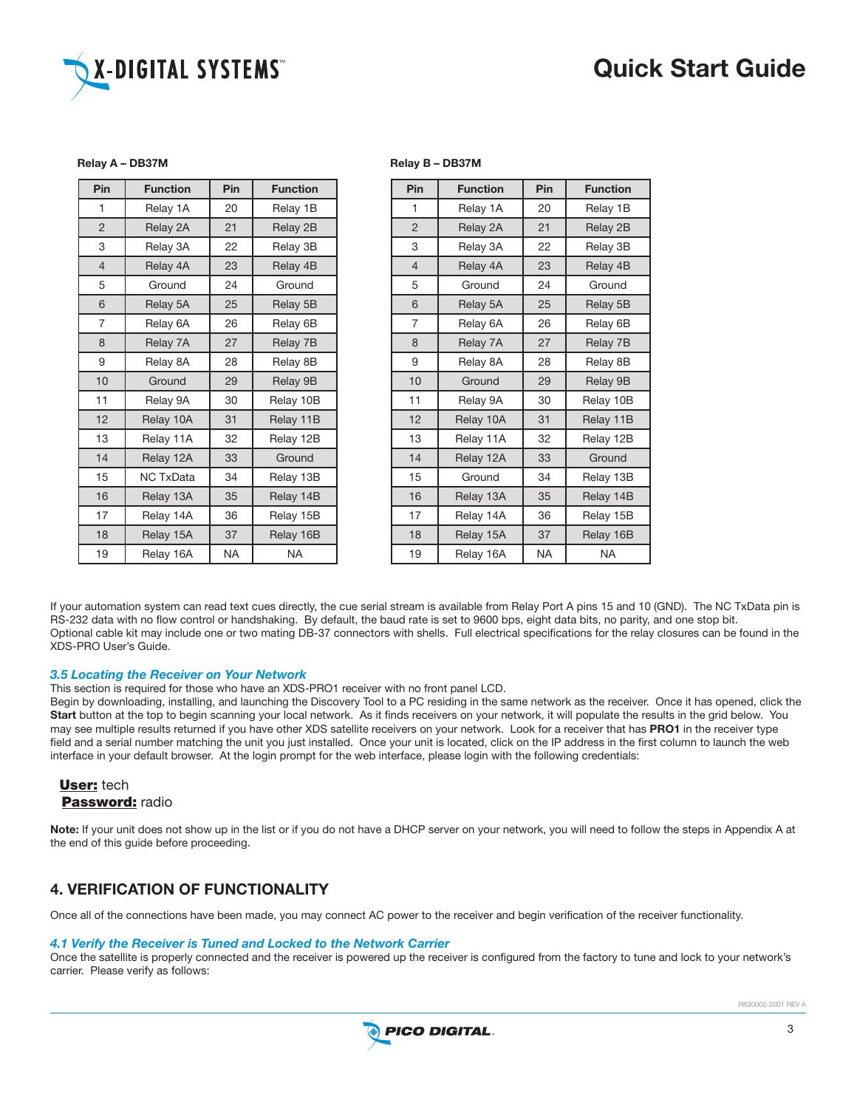# Analysis and Cuick Start Guide (1995). The Cuick Start Guide (1995).



| Relay A - DB37M |  |
|-----------------|--|

| Pin            | <b>Function</b> | Pin       | <b>Function</b> |
|----------------|-----------------|-----------|-----------------|
| 1              | Relay 1A        | 20        | Relay 1B        |
| $\overline{2}$ | Relay 2A        | 21        | Relay 2B        |
| 3              | Relay 3A        | 22        | Relay 3B        |
| $\overline{4}$ | Relay 4A        | 23        | Relay 4B        |
| 5              | Ground          | 24        | Ground          |
| 6              | Relay 5A        | 25        | Relay 5B        |
| $\overline{7}$ | Relay 6A        | 26        | Relay 6B        |
| 8              | Relay 7A        | 27        | Relay 7B        |
| 9              | Relay 8A        | 28        | Relay 8B        |
| 10             | Ground          | 29        | Relay 9B        |
| 11             | Relay 9A        | 30        | Relay 10B       |
| 12             | Relay 10A       | 31        | Relay 11B       |
| 13             | Relay 11A       | 32        | Relay 12B       |
| 14             | Relay 12A       | 33        | Ground          |
| 15             | NC TxData       | 34        | Relay 13B       |
| 16             | Relay 13A       | 35        | Relay 14B       |
| 17             | Relay 14A       | 36        | Relay 15B       |
| 18             | Relay 15A       | 37        | Relay 16B       |
| 19             | Relay 16A       | <b>NA</b> | <b>NA</b>       |

#### Relay B – DB37M

| Pin            | <b>Function</b> | Pin       | <b>Function</b> |
|----------------|-----------------|-----------|-----------------|
| 1              | Relay 1A        | 20        | Relay 1B        |
| $\overline{2}$ | Relay 2A        | 21        | Relay 2B        |
| 3              | Relay 3A        | 22        | Relay 3B        |
| $\overline{4}$ | Relay 4A        | 23        | Relay 4B        |
| 5              | Ground          | 24        | Ground          |
| 6              | Relay 5A        | 25        | Relay 5B        |
| 7              | Relay 6A        | 26        | Relay 6B        |
| 8              | Relay 7A        | 27        | Relay 7B        |
| 9              | Relay 8A        | 28        | Relay 8B        |
| 10             | Ground          | 29        | Relay 9B        |
| 11             | Relay 9A        | 30        | Relay 10B       |
| 12             | Relay 10A       | 31        | Relay 11B       |
| 13             | Relay 11A       | 32        | Relay 12B       |
| 14             | Relay 12A       | 33        | Ground          |
| 15             | Ground          | 34        | Relay 13B       |
| 16             | Relay 13A       | 35        | Relay 14B       |
| 17             | Relay 14A       | 36        | Relay 15B       |
| 18             | Relay 15A       | 37        | Relay 16B       |
| 19             | Relay 16A       | <b>NA</b> | <b>NA</b>       |

If your automation system can read text cues directly, the cue serial stream is available from Relay Port A pins 15 and 10 (GND). The NC TxData pin is RS-232 data with no flow control or handshaking. By default, the baud rate is set to 9600 bps, eight data bits, no parity, and one stop bit. Optional cable kit may include one or two mating DB-37 connectors with shells. Full electrical specifications for the relay closures can be found in the XDS-PRO User's Guide.

#### *3.5 Locating the Receiver on Your Network*

This section is required for those who have an XDS-PRO1 receiver with no front panel LCD.

Begin by downloading, installing, and launching the Discovery Tool to a PC residing in the same network as the receiver. Once it has opened, click the Start button at the top to begin scanning your local network. As it finds receivers on your network, it will populate the results in the grid below. You may see multiple results returned if you have other XDS satellite receivers on your network. Look for a receiver that has PRO1 in the receiver type field and a serial number matching the unit you just installed. Once your unit is located, click on the IP address in the first column to launch the web interface in your default browser. At the login prompt for the web interface, please login with the following credentials:

## User: tech Password: radio

Note: If your unit does not show up in the list or if you do not have a DHCP server on your network, you will need to follow the steps in Appendix A at the end of this guide before proceeding.

# 4. Verification of Functionality

Once all of the connections have been made, you may connect AC power to the receiver and begin verification of the receiver functionality.

### *4.1 Verify the Receiver is Tuned and Locked to the Network Carrier*

Once the satellite is properly connected and the receiver is powered up the receiver is configured from the factory to tune and lock to your network's carrier. Please verify as follows: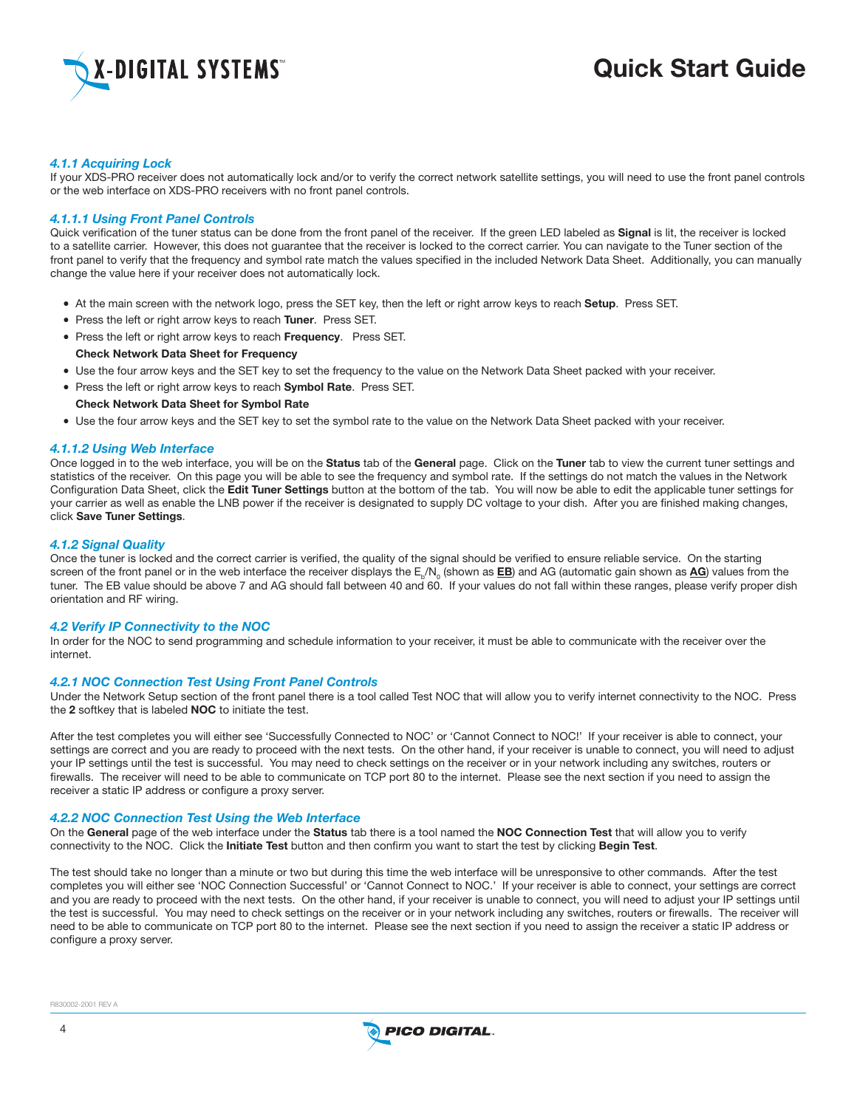

# Analysis and Cuick Start Guide (1995). The Cuick Start Guide (1995).

#### *4.1.1 Acquiring Lock*

If your XDS-PRO receiver does not automatically lock and/or to verify the correct network satellite settings, you will need to use the front panel controls or the web interface on XDS-PRO receivers with no front panel controls.

#### *4.1.1.1 Using Front Panel Controls*

Quick verification of the tuner status can be done from the front panel of the receiver. If the green LED labeled as Signal is lit, the receiver is locked to a satellite carrier. However, this does not guarantee that the receiver is locked to the correct carrier. You can navigate to the Tuner section of the front panel to verify that the frequency and symbol rate match the values specified in the included Network Data Sheet. Additionally, you can manually change the value here if your receiver does not automatically lock.

- At the main screen with the network logo, press the SET key, then the left or right arrow keys to reach Setup. Press SET.
- Press the left or right arrow keys to reach Tuner. Press SET.
- Press the left or right arrow keys to reach Frequency. Press SET. Check Network Data Sheet for Frequency
- • Use the four arrow keys and the SET key to set the frequency to the value on the Network Data Sheet packed with your receiver.
- Press the left or right arrow keys to reach Symbol Rate. Press SET. Check Network Data Sheet for Symbol Rate
- Use the four arrow keys and the SET key to set the symbol rate to the value on the Network Data Sheet packed with your receiver.

#### *4.1.1.2 Using Web Interface*

Once logged in to the web interface, you will be on the Status tab of the General page. Click on the Tuner tab to view the current tuner settings and statistics of the receiver. On this page you will be able to see the frequency and symbol rate. If the settings do not match the values in the Network Configuration Data Sheet, click the Edit Tuner Settings button at the bottom of the tab. You will now be able to edit the applicable tuner settings for your carrier as well as enable the LNB power if the receiver is designated to supply DC voltage to your dish. After you are finished making changes, click Save Tuner Settings.

#### *4.1.2 Signal Quality*

Once the tuner is locked and the correct carrier is verified, the quality of the signal should be verified to ensure reliable service. On the starting screen of the front panel or in the web interface the receiver displays the  $E_{\rm b}/N_{\rm o}$  (shown as  $\bf{E}\bf{B})$  and AG (automatic gain shown as  $\bf{A}\bf{G}$ ) values from the tuner. The EB value should be above 7 and AG should fall between 40 and 60. If your values do not fall within these ranges, please verify proper dish orientation and RF wiring.

#### *4.2 Verify IP Connectivity to the NOC*

In order for the NOC to send programming and schedule information to your receiver, it must be able to communicate with the receiver over the internet.

#### *4.2.1 NOC Connection Test Using Front Panel Controls*

Under the Network Setup section of the front panel there is a tool called Test NOC that will allow you to verify internet connectivity to the NOC. Press the 2 softkey that is labeled NOC to initiate the test.

After the test completes you will either see 'Successfully Connected to NOC' or 'Cannot Connect to NOC!' If your receiver is able to connect, your settings are correct and you are ready to proceed with the next tests. On the other hand, if your receiver is unable to connect, you will need to adjust your IP settings until the test is successful. You may need to check settings on the receiver or in your network including any switches, routers or firewalls. The receiver will need to be able to communicate on TCP port 80 to the internet. Please see the next section if you need to assign the receiver a static IP address or configure a proxy server.

#### *4.2.2 NOC Connection Test Using the Web Interface*

On the General page of the web interface under the Status tab there is a tool named the NOC Connection Test that will allow you to verify connectivity to the NOC. Click the Initiate Test button and then confirm you want to start the test by clicking Begin Test.

The test should take no longer than a minute or two but during this time the web interface will be unresponsive to other commands. After the test completes you will either see 'NOC Connection Successful' or 'Cannot Connect to NOC.' If your receiver is able to connect, your settings are correct and you are ready to proceed with the next tests. On the other hand, if your receiver is unable to connect, you will need to adjust your IP settings until the test is successful. You may need to check settings on the receiver or in your network including any switches, routers or firewalls. The receiver will need to be able to communicate on TCP port 80 to the internet. Please see the next section if you need to assign the receiver a static IP address or configure a proxy server.

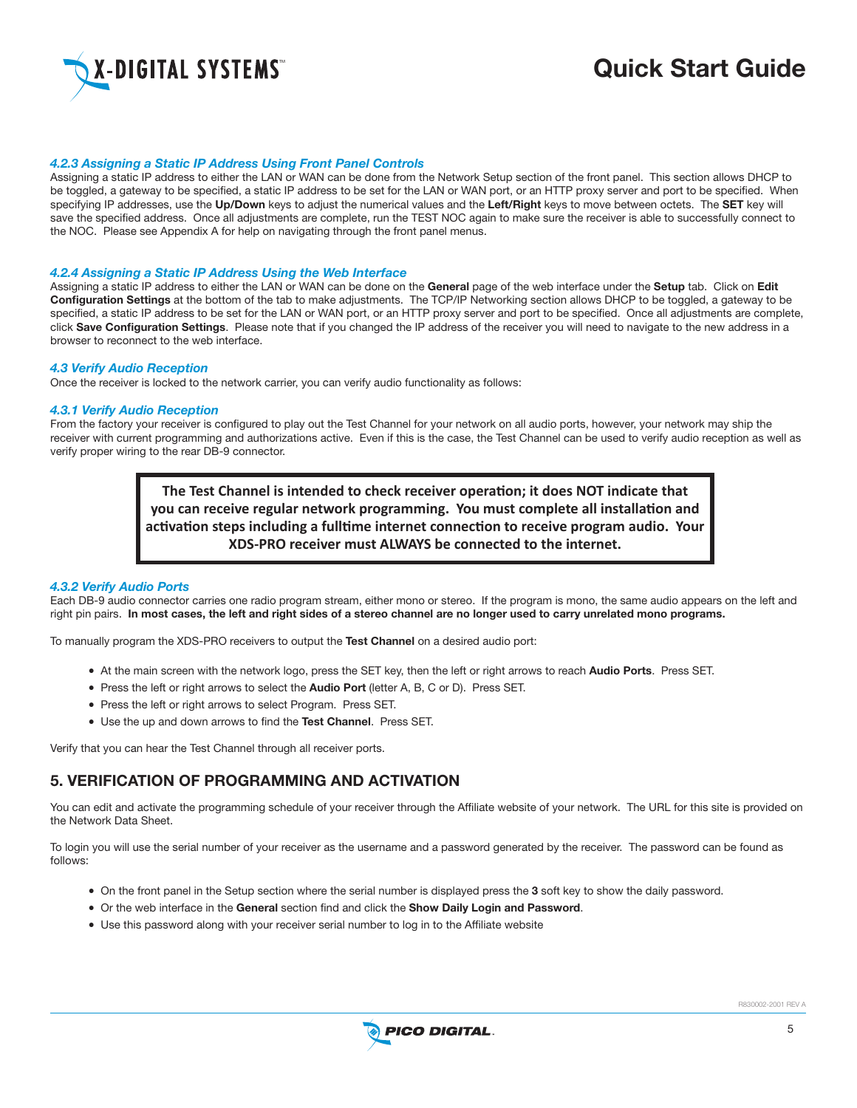

# DIGITAL SYSTEMS THE SAME CONTROLLER STATE GUIDE

#### *4.2.3 Assigning a Static IP Address Using Front Panel Controls*

Assigning a static IP address to either the LAN or WAN can be done from the Network Setup section of the front panel. This section allows DHCP to be toggled, a gateway to be specified, a static IP address to be set for the LAN or WAN port, or an HTTP proxy server and port to be specified. When specifying IP addresses, use the Up/Down keys to adjust the numerical values and the Left/Right keys to move between octets. The SET key will save the specified address. Once all adjustments are complete, run the TEST NOC again to make sure the receiver is able to successfully connect to the NOC. Please see Appendix A for help on navigating through the front panel menus.

#### *4.2.4 Assigning a Static IP Address Using the Web Interface*

Assigning a static IP address to either the LAN or WAN can be done on the General page of the web interface under the Setup tab. Click on Edit Configuration Settings at the bottom of the tab to make adjustments. The TCP/IP Networking section allows DHCP to be toggled, a gateway to be specified, a static IP address to be set for the LAN or WAN port, or an HTTP proxy server and port to be specified. Once all adjustments are complete, click Save Configuration Settings. Please note that if you changed the IP address of the receiver you will need to navigate to the new address in a browser to reconnect to the web interface.

#### *4.3 Verify Audio Reception*

Once the receiver is locked to the network carrier, you can verify audio functionality as follows:

#### *4.3.1 Verify Audio Reception*

From the factory your receiver is configured to play out the Test Channel for your network on all audio ports, however, your network may ship the receiver with current programming and authorizations active. Even if this is the case, the Test Channel can be used to verify audio reception as well as verify proper wiring to the rear DB-9 connector.

> **The Test Channel is intended to check receiver operation; it does NOT indicate that you can receive regular network programming. You must complete all installation and activation steps including a fulltime internet connection to receive program audio. Your XDS-PRO receiver must ALWAYS be connected to the internet.**

#### *4.3.2 Verify Audio Ports*

Each DB-9 audio connector carries one radio program stream, either mono or stereo. If the program is mono, the same audio appears on the left and right pin pairs. In most cases, the left and right sides of a stereo channel are no longer used to carry unrelated mono programs.

To manually program the XDS-PRO receivers to output the Test Channel on a desired audio port:

- At the main screen with the network logo, press the SET key, then the left or right arrows to reach Audio Ports. Press SET.
- Press the left or right arrows to select the **Audio Port** (letter A, B, C or D). Press SET.
- Press the left or right arrows to select Program. Press SET.
- Use the up and down arrows to find the Test Channel. Press SET.

Verify that you can hear the Test Channel through all receiver ports.

# 5. Verification of Programming and Activation

You can edit and activate the programming schedule of your receiver through the Affiliate website of your network. The URL for this site is provided on the Network Data Sheet.

To login you will use the serial number of your receiver as the username and a password generated by the receiver. The password can be found as follows:

- • On the front panel in the Setup section where the serial number is displayed press the 3 soft key to show the daily password.
- • Or the web interface in the General section find and click the Show Daily Login and Password.
- • Use this password along with your receiver serial number to log in to the Affiliate website

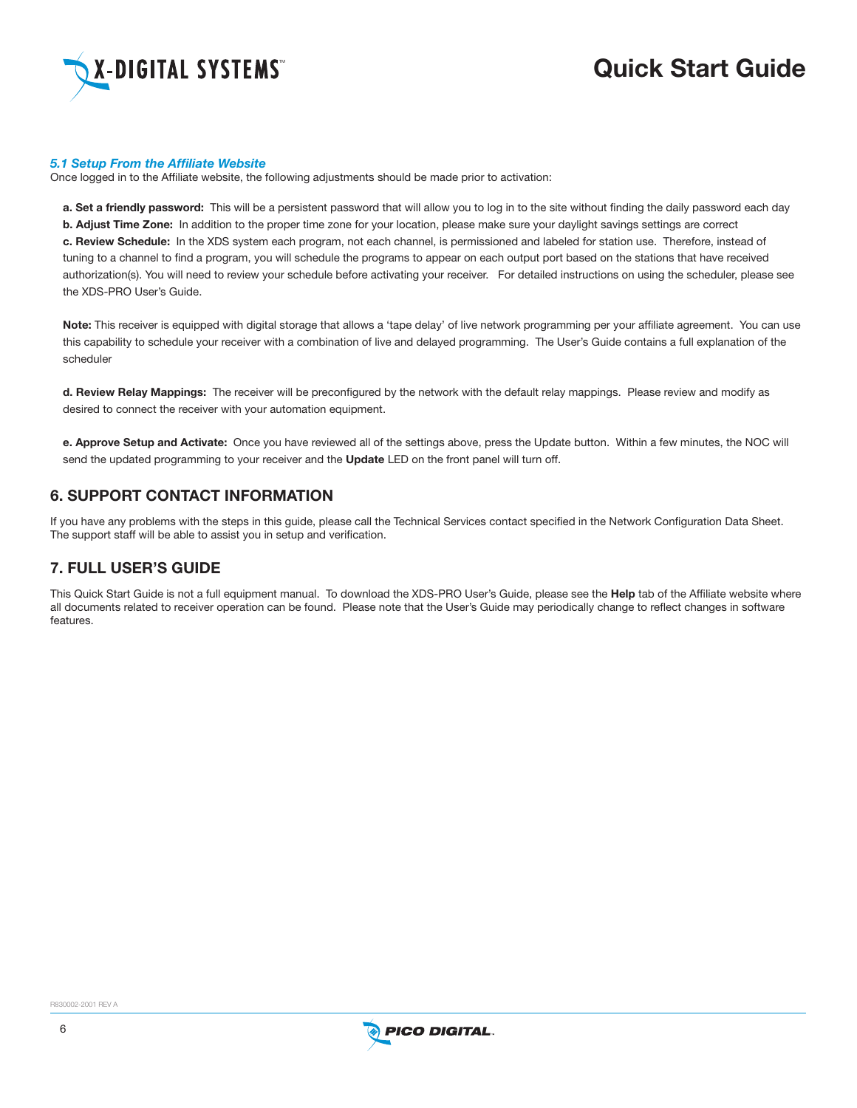

#### *5.1 Setup From the Affiliate Website*

Once logged in to the Affiliate website, the following adjustments should be made prior to activation:

a. Set a friendly password: This will be a persistent password that will allow you to log in to the site without finding the daily password each day b. Adjust Time Zone: In addition to the proper time zone for your location, please make sure your daylight savings settings are correct c. Review Schedule: In the XDS system each program, not each channel, is permissioned and labeled for station use. Therefore, instead of tuning to a channel to find a program, you will schedule the programs to appear on each output port based on the stations that have received authorization(s). You will need to review your schedule before activating your receiver. For detailed instructions on using the scheduler, please see the XDS-PRO User's Guide.

Note: This receiver is equipped with digital storage that allows a 'tape delay' of live network programming per your affiliate agreement. You can use this capability to schedule your receiver with a combination of live and delayed programming. The User's Guide contains a full explanation of the scheduler

d. Review Relay Mappings: The receiver will be preconfigured by the network with the default relay mappings. Please review and modify as desired to connect the receiver with your automation equipment.

e. Approve Setup and Activate: Once you have reviewed all of the settings above, press the Update button. Within a few minutes, the NOC will send the updated programming to your receiver and the Update LED on the front panel will turn off.

# 6. Support Contact Information

If you have any problems with the steps in this guide, please call the Technical Services contact specified in the Network Configuration Data Sheet. The support staff will be able to assist you in setup and verification.

# 7. Full User's Guide

This Quick Start Guide is not a full equipment manual. To download the XDS-PRO User's Guide, please see the Help tab of the Affiliate website where all documents related to receiver operation can be found. Please note that the User's Guide may periodically change to reflect changes in software features.

R830002-2001 REV A

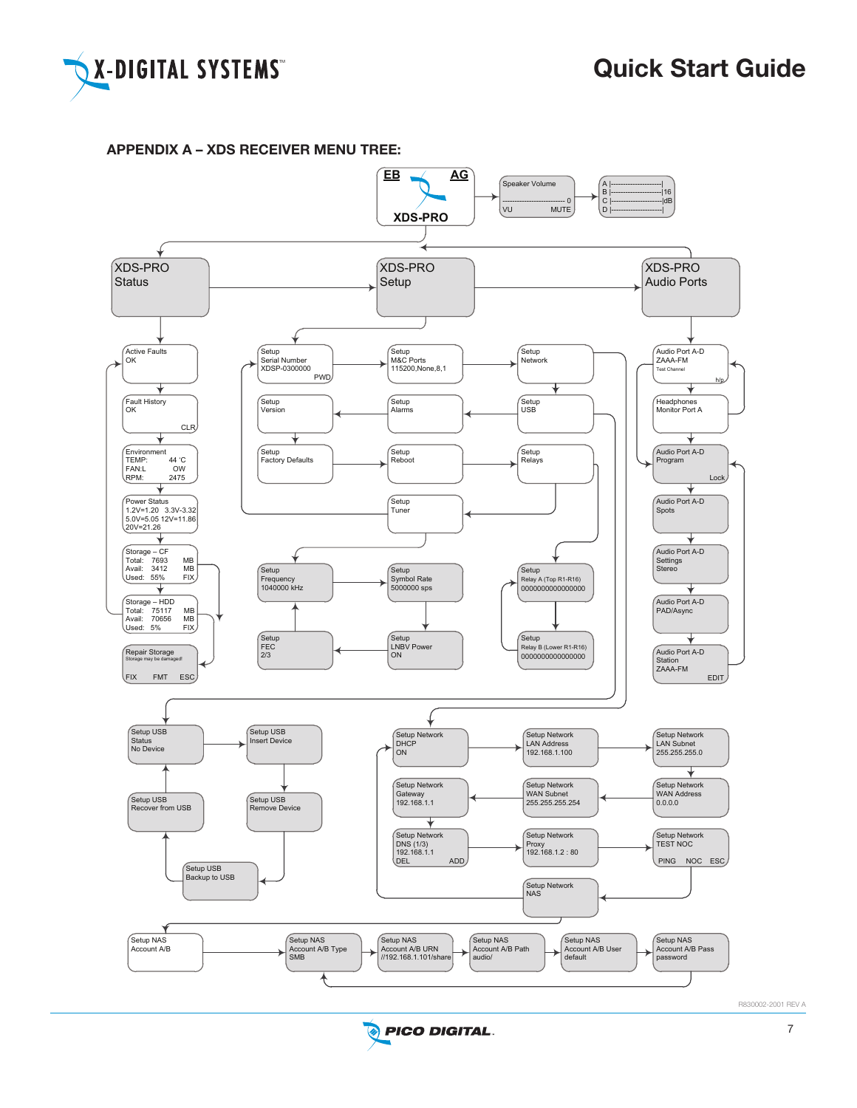

# APPENDIX A – XDS RECEIVER MENU TREE: